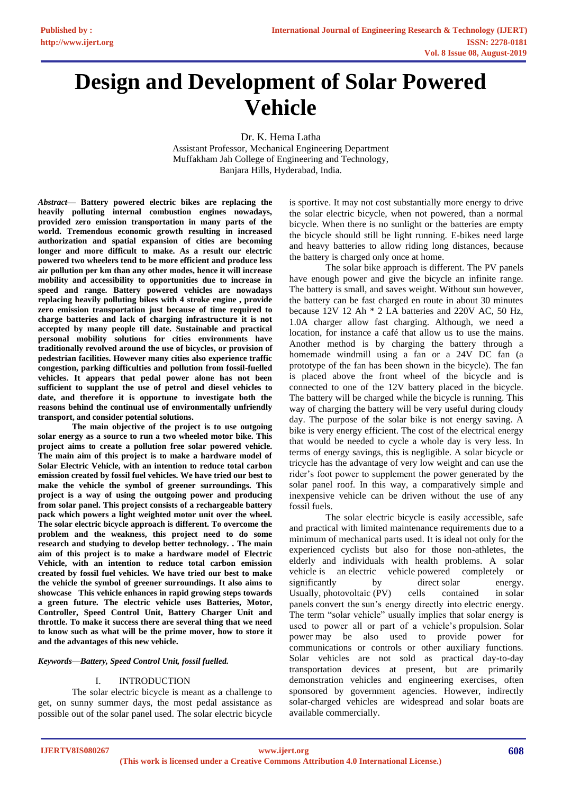# **Design and Development of Solar Powered Vehicle**

Dr. K. Hema Latha

Assistant Professor, Mechanical Engineering Department Muffakham Jah College of Engineering and Technology, Banjara Hills, Hyderabad, India.

*Abstract***— Battery powered electric bikes are replacing the heavily polluting internal combustion engines nowadays, provided zero emission transportation in many parts of the world. Tremendous economic growth resulting in increased authorization and spatial expansion of cities are becoming longer and more difficult to make. As a result our electric powered two wheelers tend to be more efficient and produce less air pollution per km than any other modes, hence it will increase mobility and accessibility to opportunities due to increase in speed and range. Battery powered vehicles are nowadays replacing heavily polluting bikes with 4 stroke engine , provide zero emission transportation just because of time required to charge batteries and lack of charging infrastructure it is not accepted by many people till date. Sustainable and practical personal mobility solutions for cities environments have traditionally revolved around the use of bicycles, or provision of pedestrian facilities. However many cities also experience traffic congestion, parking difficulties and pollution from fossil-fuelled vehicles. It appears that pedal power alone has not been sufficient to supplant the use of petrol and diesel vehicles to date, and therefore it is opportune to investigate both the reasons behind the continual use of environmentally unfriendly transport, and consider potential solutions.**

**The main objective of the project is to use outgoing solar energy as a source to run a two wheeled motor bike. This project aims to create a pollution free solar powered vehicle. The main aim of this project is to make a hardware model of Solar Electric Vehicle, with an intention to reduce total carbon emission created by fossil fuel vehicles. We have tried our best to make the vehicle the symbol of greener surroundings. This project is a way of using the outgoing power and producing from solar panel. This project consists of a rechargeable battery pack which powers a light weighted motor unit over the wheel. The solar electric bicycle approach is different. To overcome the problem and the weakness, this project need to do some research and studying to develop better technology. . The main aim of this project is to make a hardware model of Electric Vehicle, with an intention to reduce total carbon emission created by fossil fuel vehicles. We have tried our best to make the vehicle the symbol of greener surroundings. It also aims to showcase This vehicle enhances in rapid growing steps towards a green future. The electric vehicle uses Batteries, Motor, Controller, Speed Control Unit, Battery Charger Unit and throttle. To make it success there are several thing that we need to know such as what will be the prime mover, how to store it and the advantages of this new vehicle.** 

#### *Keywords—Battery, Speed Control Unit, fossil fuelled.*

## I. INTRODUCTION

The solar electric bicycle is meant as a challenge to get, on sunny summer days, the most pedal assistance as possible out of the solar panel used. The solar electric bicycle is sportive. It may not cost substantially more energy to drive the solar electric bicycle, when not powered, than a normal bicycle. When there is no sunlight or the batteries are empty the bicycle should still be light running. E-bikes need large and heavy batteries to allow riding long distances, because the battery is charged only once at home.

The solar bike approach is different. The PV panels have enough power and give the bicycle an infinite range. The battery is small, and saves weight. Without sun however, the battery can be fast charged en route in about 30 minutes because 12V 12 Ah \* 2 LA batteries and 220V AC, 50 Hz, 1.0A charger allow fast charging. Although, we need a location, for instance a café that allow us to use the mains. Another method is by charging the battery through a homemade windmill using a fan or a 24V DC fan (a prototype of the fan has been shown in the bicycle). The fan is placed above the front wheel of the bicycle and is connected to one of the 12V battery placed in the bicycle. The battery will be charged while the bicycle is running. This way of charging the battery will be very useful during cloudy day. The purpose of the solar bike is not energy saving. A bike is very energy efficient. The cost of the electrical energy that would be needed to cycle a whole day is very less. In terms of energy savings, this is negligible. A solar bicycle or tricycle has the advantage of very low weight and can use the rider's foot power to supplement the power generated by the solar panel roof. In this way, a comparatively simple and inexpensive vehicle can be driven without the use of any fossil fuels.

The solar electric bicycle is easily accessible, safe and practical with limited maintenance requirements due to a minimum of mechanical parts used. It is ideal not only for the experienced cyclists but also for those non-athletes, the elderly and individuals with health problems. A solar vehicle is an electric vehicle powered completely or significantly by direct [solar energy.](https://en.wikipedia.org/wiki/Solar_energy) Usually, [photovoltaic](https://en.wikipedia.org/wiki/Photovoltaic) (PV) cells contained in solar [panels](https://en.wikipedia.org/wiki/Solar_panel) convert the [sun'](https://en.wikipedia.org/wiki/Sun)s energy directly into [electric energy.](https://en.wikipedia.org/wiki/Electric_energy) The term "solar vehicle" usually implies that solar energy is used to power all or part of a vehicle's [propulsion.](https://en.wikipedia.org/wiki/Vehicle_propulsion) [Solar](https://en.wikipedia.org/wiki/Solar_power)  [power](https://en.wikipedia.org/wiki/Solar_power) may be also used to provide power for communications or controls or other auxiliary functions. Solar vehicles are not sold as practical day-to-day transportation devices at present, but are primarily demonstration vehicles and engineering exercises, often sponsored by government agencies. However, indirectly solar-charged vehicles are widespread and [solar boats](https://en.wikipedia.org/wiki/Electric_boat) are available commercially.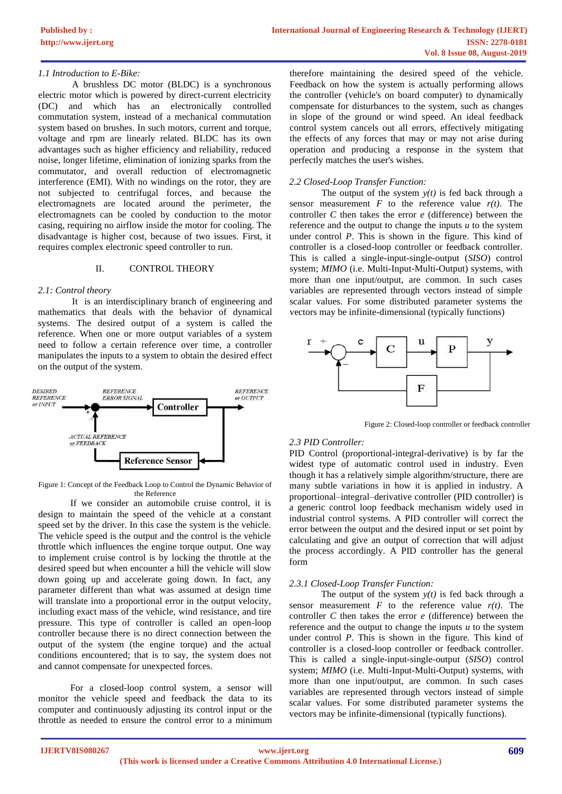## *1.1 Introduction to E-Bike:*

A brushless DC motor (BLDC) is a synchronous electric motor which is powered by direct-current electricity (DC) and which has an electronically controlled commutation system, instead of a mechanical commutation system based on brushes. In such motors, current and torque, voltage and rpm are linearly related. BLDC has its own advantages such as higher efficiency and reliability, reduced noise, longer lifetime, elimination of ionizing sparks from the commutator, and overall reduction of electromagnetic interference (EMI). With no windings on the rotor, they are not subjected to centrifugal forces, and because the electromagnets are located around the perimeter, the electromagnets can be cooled by conduction to the motor casing, requiring no airflow inside the motor for cooling. The disadvantage is higher cost, because of two issues. First, it requires complex electronic speed controller to run.

#### II. CONTROL THEORY

#### *2.1: Control theory*

It is an interdisciplinary branch of engineering and mathematics that deals with the behavior of dynamical systems. The desired output of a system is called the reference. When one or more output variables of a system need to follow a certain reference over time, a controller manipulates the inputs to a system to obtain the desired effect on the output of the system.



Figure 1: Concept of the Feedback Loop to Control the Dynamic Behavior of the Reference

If we consider an automobile cruise control, it is design to maintain the speed of the vehicle at a constant speed set by the driver. In this case the system is the vehicle. The vehicle speed is the output and the control is the vehicle throttle which influences the engine torque output. One way to implement cruise control is by locking the throttle at the desired speed but when encounter a hill the vehicle will slow down going up and accelerate going down. In fact, any parameter different than what was assumed at design time will translate into a proportional error in the output velocity, including exact mass of the vehicle, wind resistance, and tire pressure. This type of controller is called an open-loop controller because there is no direct connection between the output of the system (the engine torque) and the actual conditions encountered; that is to say, the system does not and cannot compensate for unexpected forces.

For a closed-loop control system, a sensor will monitor the vehicle speed and feedback the data to its computer and continuously adjusting its control input or the throttle as needed to ensure the control error to a minimum

therefore maintaining the desired speed of the vehicle. Feedback on how the system is actually performing allows the controller (vehicle's on board computer) to dynamically compensate for disturbances to the system, such as changes in slope of the ground or wind speed. An ideal feedback control system cancels out all errors, effectively mitigating the effects of any forces that may or may not arise during operation and producing a response in the system that perfectly matches the user's wishes.

## *2.2 Closed-Loop Transfer Function:*

The output of the system  $y(t)$  is fed back through a sensor measurement  $F$  to the reference value  $r(t)$ . The controller *C* then takes the error *e* (difference) between the reference and the output to change the inputs *u* to the system under control *P*. This is shown in the figure. This kind of controller is a closed-loop controller or feedback controller. This is called a single-input-single-output (*SISO*) control system; **MIMO** (i.e. Multi-Input-Multi-Output) systems, with more than one input/output, are common. In such cases variables are represented through vectors instead of simple scalar values. For some distributed parameter systems the vectors may be infinite-dimensional (typically functions)



Figure 2: Closed-loop controller or feedback controller

## *2.3 PID Controller:*

PID Control (proportional-integral-derivative) is by far the widest type of automatic control used in industry. Even though it has a relatively simple algorithm/structure, there are many subtle variations in how it is applied in industry. A proportional–integral–derivative controller (PID controller) is a generic control loop feedback mechanism widely used in industrial control systems. A PID controller will correct the error between the output and the desired input or set point by calculating and give an output of correction that will adjust the process accordingly. A PID controller has the general form

#### *2.3.1 Closed-Loop Transfer Function:*

The output of the system  $y(t)$  is fed back through a sensor measurement  $F$  to the reference value  $r(t)$ . The controller *C* then takes the error *e* (difference) between the reference and the output to change the inputs *u* to the system under control *P*. This is shown in the figure. This kind of controller is a closed-loop controller or feedback controller. This is called a single-input-single-output (*SISO*) control system; *MIMO* (i.e. Multi-Input-Multi-Output) systems, with more than one input/output, are common. In such cases variables are represented through vectors instead of simple scalar values. For some distributed parameter systems the vectors may be infinite-dimensional (typically functions).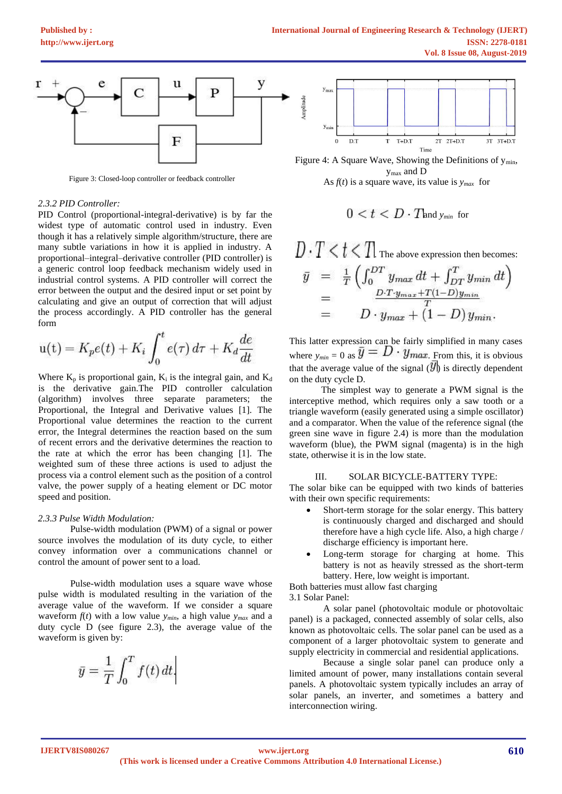

Figure 3: Closed-loop controller or feedback controller

#### *2.3.2 PID Controller:*

PID Control (proportional-integral-derivative) is by far the widest type of automatic control used in industry. Even though it has a relatively simple algorithm/structure, there are many subtle variations in how it is applied in industry. A proportional–integral–derivative controller (PID controller) is a generic control loop feedback mechanism widely used in industrial control systems. A PID controller will correct the error between the output and the desired input or set point by calculating and give an output of correction that will adjust the process accordingly. A PID controller has the general form

$$
u(t) = K_p e(t) + K_i \int_0^t e(\tau) d\tau + K_d \frac{de}{dt}
$$

Where  $K_p$  is proportional gain,  $K_i$  is the integral gain, and  $K_d$ is the derivative gain.The PID controller calculation (algorithm) involves three separate parameters; the Proportional, the Integral and Derivative values [1]. The Proportional value determines the reaction to the current error, the Integral determines the reaction based on the sum of recent errors and the derivative determines the reaction to the rate at which the error has been changing [1]. The weighted sum of these three actions is used to adjust the process via a control element such as the position of a control valve, the power supply of a heating element or DC motor speed and position.

#### *2.3.3 Pulse Width Modulation:*

Pulse-width modulation (PWM) of a signal or power source involves the modulation of its duty cycle, to either convey information over a communications channel or control the amount of power sent to a load.

Pulse-width modulation uses a square wave whose pulse width is modulated resulting in the variation of the average value of the waveform. If we consider a square waveform  $f(t)$  with a low value  $y_{min}$ , a high value  $y_{max}$  and a duty cycle D (see figure 2.3), the average value of the waveform is given by:

$$
\bar{y} = \frac{1}{T} \int_0^T f(t) dt.
$$



Figure 4: A Square Wave, Showing the Definitions of  $y_{min}$ , ymax and D As  $f(t)$  is a square wave, its value is  $y_{max}$  for

$$
0 < t < D \cdot T
$$
 and  $y_{min}$  for

$$
D \cdot T < t < T
$$
\nThe above expression then becomes:  
\n
$$
\bar{y} = \frac{1}{T} \left( \int_0^{DT} y_{max} dt + \int_{DT}^T y_{min} dt \right)
$$
\n
$$
= \frac{D \cdot T \cdot y_{max} + T(1-D) y_{min}}{T}
$$
\n
$$
= D \cdot y_{max} + (1-D) y_{min}.
$$

This latter expression can be fairly simplified in many cases where  $y_{min} = 0$  as  $\bar{y} = D \cdot y_{max}$ . From this, it is obvious that the average value of the signal  $(\overline{y}_0)$  is directly dependent on the duty cycle D.

The simplest way to generate a PWM signal is the interceptive method, which requires only a saw tooth or a triangle waveform (easily generated using a simple oscillator) and a comparator. When the value of the reference signal (the green sine wave in figure 2.4) is more than the modulation waveform (blue), the PWM signal (magenta) is in the high state, otherwise it is in the low state.

#### III. SOLAR BICYCLE-BATTERY TYPE:

The solar bike can be equipped with two kinds of batteries with their own specific requirements:

- Short-term storage for the solar energy. This battery is continuously charged and discharged and should therefore have a high cycle life. Also, a high charge / discharge efficiency is important here.
- Long-term storage for charging at home. This battery is not as heavily stressed as the short-term battery. Here, low weight is important.

Both batteries must allow fast charging 3.1 Solar Panel:

A solar panel (photovoltaic module or photovoltaic panel) is a packaged, connected assembly of solar cells, also known as photovoltaic cells. The solar panel can be used as a component of a larger photovoltaic system to generate and supply electricity in commercial and residential applications.

Because a single solar panel can produce only a limited amount of power, many installations contain several panels. A photovoltaic system typically includes an array of solar panels, an inverter, and sometimes a battery and interconnection wiring.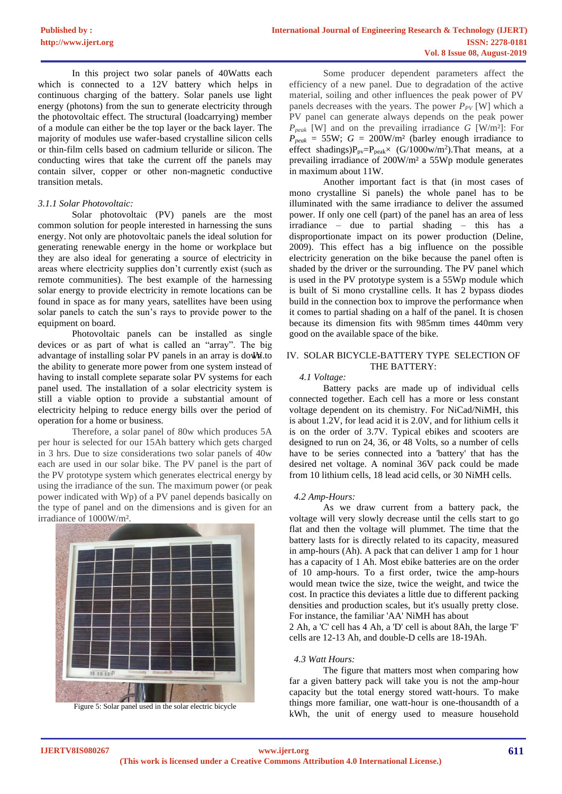In this project two solar panels of 40Watts each which is connected to a 12V battery which helps in continuous charging of the battery. Solar panels use light energy (photons) from the sun to generate electricity through the photovoltaic effect. The structural (loadcarrying) member of a module can either be the top layer or the back layer. The majority of modules use wafer-based crystalline silicon cells or thin-film cells based on cadmium telluride or silicon. The conducting wires that take the current off the panels may contain silver, copper or other non-magnetic conductive transition metals.

#### *3.1.1 Solar Photovoltaic:*

Solar photovoltaic (PV) panels are the most common solution for people interested in harnessing the suns energy. Not only are photovoltaic panels the ideal solution for generating renewable energy in the home or workplace but they are also ideal for generating a source of electricity in areas where electricity supplies don't currently exist (such as remote communities). The best example of the harnessing solar energy to provide electricity in remote locations can be found in space as for many years, satellites have been using solar panels to catch the sun's rays to provide power to the equipment on board.

Photovoltaic panels can be installed as single devices or as part of what is called an "array". The big advantage of installing solar PV panels in an array is down to the ability to generate more power from one system instead of having to install complete separate solar PV systems for each panel used. The installation of a solar electricity system is still a viable option to provide a substantial amount of electricity helping to reduce energy bills over the period of operation for a home or business.

Therefore, a solar panel of 80w which produces 5A per hour is selected for our 15Ah battery which gets charged in 3 hrs. Due to size considerations two solar panels of 40w each are used in our solar bike. The PV panel is the part of the PV prototype system which generates electrical energy by using the irradiance of the sun. The maximum power (or peak power indicated with Wp) of a PV panel depends basically on the type of panel and on the dimensions and is given for an irradiance of 1000W/m².



Figure 5: Solar panel used in the solar electric bicycle

Some producer dependent parameters affect the efficiency of a new panel. Due to degradation of the active material, soiling and other influences the peak power of PV panels decreases with the years. The power  $P_{PV}$  [W] which a PV panel can generate always depends on the peak power *Ppeak* [W] and on the prevailing irradiance *G* [W/m²]: For  $P_{peak}$  = 55W;  $G = 200$ W/m<sup>2</sup> (barley enough irradiance to effect shadings) $P_{pv} = P_{peak} \times (G/1000 \text{w/m}^2)$ . That means, at a prevailing irradiance of 200W/m² a 55Wp module generates in maximum about 11W.

Another important fact is that (in most cases of mono crystalline Si panels) the whole panel has to be illuminated with the same irradiance to deliver the assumed power. If only one cell (part) of the panel has an area of less irradiance – due to partial shading – this has a disproportionate impact on its power production (Deline, 2009). This effect has a big influence on the possible electricity generation on the bike because the panel often is shaded by the driver or the surrounding. The PV panel which is used in the PV prototype system is a 55Wp module which is built of Si mono crystalline cells. It has 2 bypass diodes build in the connection box to improve the performance when it comes to partial shading on a half of the panel. It is chosen because its dimension fits with 985mm times 440mm very good on the available space of the bike.

## IV. IV. SOLAR BICYCLE-BATTERY TYPE SELECTION OF THE BATTERY:

## *4.1 Voltage:*

Battery packs are made up of individual cells connected together. Each cell has a more or less constant voltage dependent on its chemistry. For NiCad/NiMH, this is about 1.2V, for lead acid it is 2.0V, and for lithium cells it is on the order of 3.7V. Typical ebikes and scooters are designed to run on 24, 36, or 48 Volts, so a number of cells have to be series connected into a 'battery' that has the desired net voltage. A nominal 36V pack could be made from 10 lithium cells, 18 lead acid cells, or 30 NiMH cells.

#### *4.2 Amp-Hours:*

As we draw current from a battery pack, the voltage will very slowly decrease until the cells start to go flat and then the voltage will plummet. The time that the battery lasts for is directly related to its capacity, measured in amp-hours (Ah). A pack that can deliver 1 amp for 1 hour has a capacity of 1 Ah. Most ebike batteries are on the order of 10 amp-hours. To a first order, twice the amp-hours would mean twice the size, twice the weight, and twice the cost. In practice this deviates a little due to different packing densities and production scales, but it's usually pretty close. For instance, the familiar 'AA' NiMH has about

2 Ah, a 'C' cell has 4 Ah, a 'D' cell is about 8Ah, the large 'F' cells are 12-13 Ah, and double-D cells are 18-19Ah.

#### *4.3 Watt Hours:*

The figure that matters most when comparing how far a given battery pack will take you is not the amp-hour capacity but the total energy stored watt-hours. To make things more familiar, one watt-hour is one-thousandth of a kWh, the unit of energy used to measure household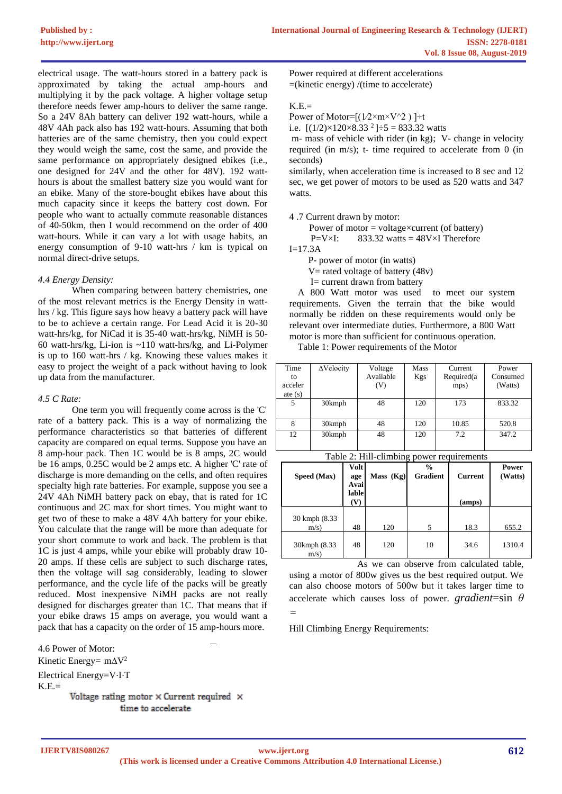electrical usage. The watt-hours stored in a battery pack is approximated by taking the actual amp-hours and multiplying it by the pack voltage. A higher voltage setup therefore needs fewer amp-hours to deliver the same range. So a 24V 8Ah battery can deliver 192 watt-hours, while a 48V 4Ah pack also has 192 watt-hours. Assuming that both batteries are of the same chemistry, then you could expect they would weigh the same, cost the same, and provide the same performance on appropriately designed ebikes (i.e., one designed for 24V and the other for 48V). 192 watthours is about the smallest battery size you would want for an ebike. Many of the store-bought ebikes have about this much capacity since it keeps the battery cost down. For people who want to actually commute reasonable distances of 40-50km, then I would recommend on the order of 400 watt-hours. While it can vary a lot with usage habits, an energy consumption of 9-10 watt-hrs / km is typical on normal direct-drive setups.

#### *4.4 Energy Density:*

When comparing between battery chemistries, one of the most relevant metrics is the Energy Density in watthrs / kg. This figure says how heavy a battery pack will have to be to achieve a certain range. For Lead Acid it is 20-30 watt-hrs/kg, for NiCad it is 35-40 watt-hrs/kg, NiMH is 50- 60 watt-hrs/kg, Li-ion is ~110 watt-hrs/kg, and Li-Polymer is up to 160 watt-hrs / kg. Knowing these values makes it easy to project the weight of a pack without having to look up data from the manufacturer.

## *4.5 C Rate:*

One term you will frequently come across is the 'C' rate of a battery pack. This is a way of normalizing the performance characteristics so that batteries of different capacity are compared on equal terms. Suppose you have an 8 amp-hour pack. Then 1C would be is 8 amps, 2C would be 16 amps, 0.25C would be 2 amps etc. A higher 'C' rate of discharge is more demanding on the cells, and often requires specialty high rate batteries. For example, suppose you see a 24V 4Ah NiMH battery pack on ebay, that is rated for 1C continuous and 2C max for short times. You might want to get two of these to make a 48V 4Ah battery for your ebike. You calculate that the range will be more than adequate for your short commute to work and back. The problem is that 1C is just 4 amps, while your ebike will probably draw 10- 20 amps. If these cells are subject to such discharge rates, then the voltage will sag considerably, leading to slower performance, and the cycle life of the packs will be greatly reduced. Most inexpensive NiMH packs are not really designed for discharges greater than 1C. That means that if your ebike draws 15 amps on average, you would want a pack that has a capacity on the order of 15 amp-hours more.

4.6 Power of Motor:

Kinetic Energy=  $m\Delta V^2$ 

Electrical Energy=V⋅I⋅T

 $K.E.$ 

Voltage rating motor  $\times$  Current required  $\times$ time to accelerate

Power required at different accelerations =(kinetic energy) /(time to accelerate)

## $K.E.$

Power of Motor= $[(1/2 \times m \times V^2)$  ]÷t

i.e.  $[(1/2) \times 120 \times 8.33^2] \div 5 = 833.32$  watts

m- mass of vehicle with rider (in kg); V- change in velocity required (in m/s); t- time required to accelerate from 0 (in seconds)

similarly, when acceleration time is increased to 8 sec and 12 sec, we get power of motors to be used as 520 watts and 347 watts.

4 .7 Current drawn by motor:

Power of motor = voltage $\times$ current (of battery)

 $P=V\times I$ : 833.32 watts = 48V $\times$ I Therefore

 $I=17.3A$ 

P- power of motor (in watts)

V = rated voltage of battery  $(48v)$ 

I= current drawn from battery

A 800 Watt motor was used to meet our system requirements. Given the terrain that the bike would normally be ridden on these requirements would only be relevant over intermediate duties. Furthermore, a 800 Watt motor is more than sufficient for continuous operation.

Table 1: Power requirements of the Motor

| Time<br>to<br>acceler<br>ate $(s)$ | $\Delta$ Velocity | Voltage<br>Available<br>(V) | Mass<br>Kgs | Current<br>Required(a<br>mps) | Power<br>Consumed<br>(Watts) |
|------------------------------------|-------------------|-----------------------------|-------------|-------------------------------|------------------------------|
| 5                                  | 30kmph            | 48                          | 120         | 173                           | 833.32                       |
|                                    | 30kmph            | 48                          | 120         | 10.85                         | 520.8                        |
| 12                                 | 30kmph            | 48                          | 120         | 72                            | 347.2                        |

|  | Table 2: Hill-climbing power requirements |
|--|-------------------------------------------|
|  |                                           |

| 0                      |                                            |             |                                  |                          |                  |  |  |  |
|------------------------|--------------------------------------------|-------------|----------------------------------|--------------------------|------------------|--|--|--|
| Speed (Max)            | <b>Volt</b><br>age<br>Avai<br>lable<br>(V) | Mass $(Kg)$ | $\frac{0}{0}$<br><b>Gradient</b> | <b>Current</b><br>(amps) | Power<br>(Watts) |  |  |  |
| 30 kmph (8.33)<br>m/s) | 48                                         | 120         | 5                                | 18.3                     | 655.2            |  |  |  |
| 30kmph (8.33<br>m/s)   | 48                                         | 120         | 10                               | 34.6                     | 1310.4           |  |  |  |

As we can observe from calculated table, using a motor of 800w gives us the best required output. We can also choose motors of 500w but it takes larger time to accelerate which causes loss of power. *gradient*=sin *θ =*

Hill Climbing Energy Requirements: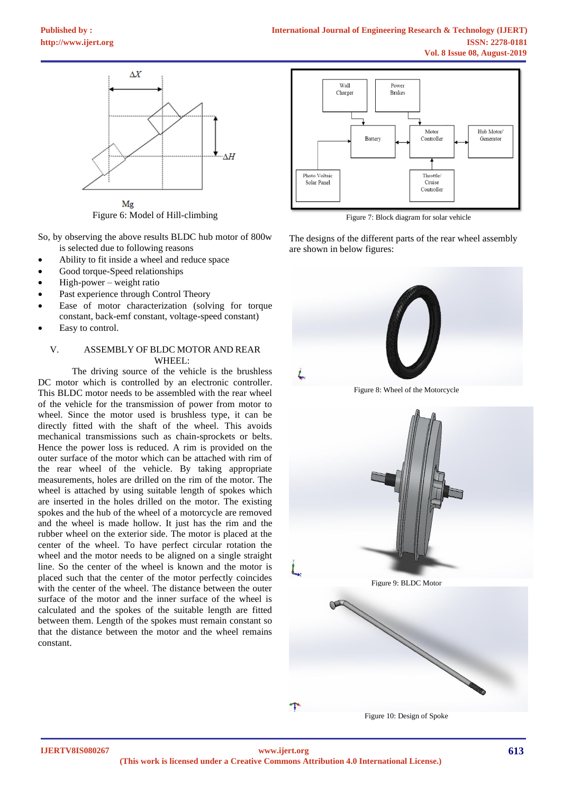

Figure 6: Model of Hill-climbing

So, by observing the above results BLDC hub motor of 800w is selected due to following reasons

- Ability to fit inside a wheel and reduce space
- Good torque-Speed relationships
- $High-power weight ratio$
- Past experience through Control Theory
- Ease of motor characterization (solving for torque constant, back-emf constant, voltage-speed constant)
- Easy to control.

## V. ASSEMBLY OF BLDC MOTOR AND REAR WHEEL:

The driving source of the vehicle is the brushless DC motor which is controlled by an electronic controller. This BLDC motor needs to be assembled with the rear wheel of the vehicle for the transmission of power from motor to wheel. Since the motor used is brushless type, it can be directly fitted with the shaft of the wheel. This avoids mechanical transmissions such as chain-sprockets or belts. Hence the power loss is reduced. A rim is provided on the outer surface of the motor which can be attached with rim of the rear wheel of the vehicle. By taking appropriate measurements, holes are drilled on the rim of the motor. The wheel is attached by using suitable length of spokes which are inserted in the holes drilled on the motor. The existing spokes and the hub of the wheel of a motorcycle are removed and the wheel is made hollow. It just has the rim and the rubber wheel on the exterior side. The motor is placed at the center of the wheel. To have perfect circular rotation the wheel and the motor needs to be aligned on a single straight line. So the center of the wheel is known and the motor is placed such that the center of the motor perfectly coincides with the center of the wheel. The distance between the outer surface of the motor and the inner surface of the wheel is calculated and the spokes of the suitable length are fitted between them. Length of the spokes must remain constant so that the distance between the motor and the wheel remains constant.



Figure 7: Block diagram for solar vehicle

The designs of the different parts of the rear wheel assembly are shown in below figures:



Figure 8: Wheel of the Motorcycle



Figure 10: Design of Spoke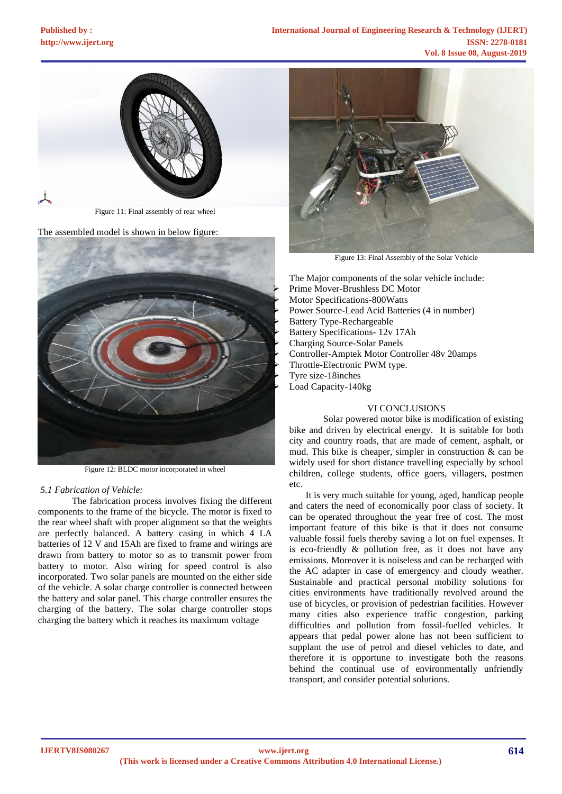

Figure 11: Final assembly of rear wheel

The assembled model is shown in below figure:



Figure 12: BLDC motor incorporated in wheel

## *5.1 Fabrication of Vehicle:*

The fabrication process involves fixing the different components to the frame of the bicycle. The motor is fixed to the rear wheel shaft with proper alignment so that the weights are perfectly balanced. A battery casing in which 4 LA batteries of 12 V and 15Ah are fixed to frame and wirings are drawn from battery to motor so as to transmit power from battery to motor. Also wiring for speed control is also incorporated. Two solar panels are mounted on the either side of the vehicle. A solar charge controller is connected between the battery and solar panel. This charge controller ensures the charging of the battery. The solar charge controller stops charging the battery which it reaches its maximum voltage



Figure 13: Final Assembly of the Solar Vehicle

The Major components of the solar vehicle include: ➢ Prime Mover-Brushless DC Motor ➢ Motor Specifications-800Watts ➢ Power Source-Lead Acid Batteries (4 in number) ➢ Battery Type-Rechargeable ➢ Battery Specifications- 12v 17Ah ➢ Charging Source-Solar Panels ➢ Controller-Amptek Motor Controller 48v 20amps ➢ Throttle-Electronic PWM type. ➢ Tyre size-18inches ➢ Load Capacity-140kg

#### VI CONCLUSIONS

Solar powered motor bike is modification of existing bike and driven by electrical energy. It is suitable for both city and country roads, that are made of cement, asphalt, or mud. This bike is cheaper, simpler in construction  $\&$  can be widely used for short distance travelling especially by school children, college students, office goers, villagers, postmen etc.

It is very much suitable for young, aged, handicap people and caters the need of economically poor class of society. It can be operated throughout the year free of cost. The most important feature of this bike is that it does not consume valuable fossil fuels thereby saving a lot on fuel expenses. It is eco-friendly & pollution free, as it does not have any emissions. Moreover it is noiseless and can be recharged with the AC adapter in case of emergency and cloudy weather. Sustainable and practical personal mobility solutions for cities environments have traditionally revolved around the use of bicycles, or provision of pedestrian facilities. However many cities also experience traffic congestion, parking difficulties and pollution from fossil-fuelled vehicles. It appears that pedal power alone has not been sufficient to supplant the use of petrol and diesel vehicles to date, and therefore it is opportune to investigate both the reasons behind the continual use of environmentally unfriendly transport, and consider potential solutions.